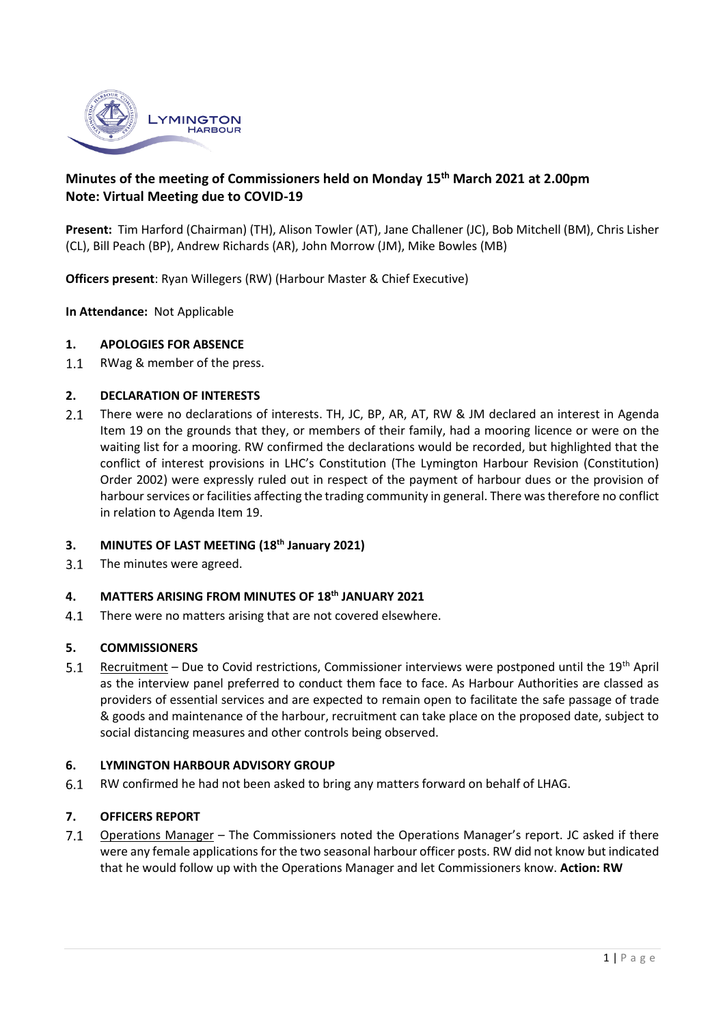

# **Minutes of the meeting of Commissioners held on Monday 15 th March 2021 at 2.00pm Note: Virtual Meeting due to COVID-19**

**Present:** Tim Harford (Chairman) (TH), Alison Towler (AT), Jane Challener (JC), Bob Mitchell (BM), Chris Lisher (CL), Bill Peach (BP), Andrew Richards (AR), John Morrow (JM), Mike Bowles (MB)

**Officers present**: Ryan Willegers (RW) (Harbour Master & Chief Executive)

**In Attendance:** Not Applicable

#### **1. APOLOGIES FOR ABSENCE**

 $1.1$ RWag & member of the press.

### **2. DECLARATION OF INTERESTS**

 $2.1$ There were no declarations of interests. TH, JC, BP, AR, AT, RW & JM declared an interest in Agenda Item 19 on the grounds that they, or members of their family, had a mooring licence or were on the waiting list for a mooring. RW confirmed the declarations would be recorded, but highlighted that the conflict of interest provisions in LHC's Constitution (The Lymington Harbour Revision (Constitution) Order 2002) were expressly ruled out in respect of the payment of harbour dues or the provision of harbour services or facilities affecting the trading community in general. There was therefore no conflict in relation to Agenda Item 19.

#### **3. MINUTES OF LAST MEETING (18th January 2021)**

 $3.1$ The minutes were agreed.

## **4. MATTERS ARISING FROM MINUTES OF 18th JANUARY 2021**

There were no matters arising that are not covered elsewhere.  $4.1$ 

#### **5. COMMISSIONERS**

 $5.1$ Recruitment - Due to Covid restrictions, Commissioner interviews were postponed until the 19<sup>th</sup> April as the interview panel preferred to conduct them face to face. As Harbour Authorities are classed as providers of essential services and are expected to remain open to facilitate the safe passage of trade & goods and maintenance of the harbour, recruitment can take place on the proposed date, subject to social distancing measures and other controls being observed.

### **6. LYMINGTON HARBOUR ADVISORY GROUP**

 $6.1$ RW confirmed he had not been asked to bring any matters forward on behalf of LHAG.

### **7. OFFICERS REPORT**

 $7.1$ Operations Manager – The Commissioners noted the Operations Manager's report. JC asked if there were any female applications for the two seasonal harbour officer posts. RW did not know but indicated that he would follow up with the Operations Manager and let Commissioners know. **Action: RW**